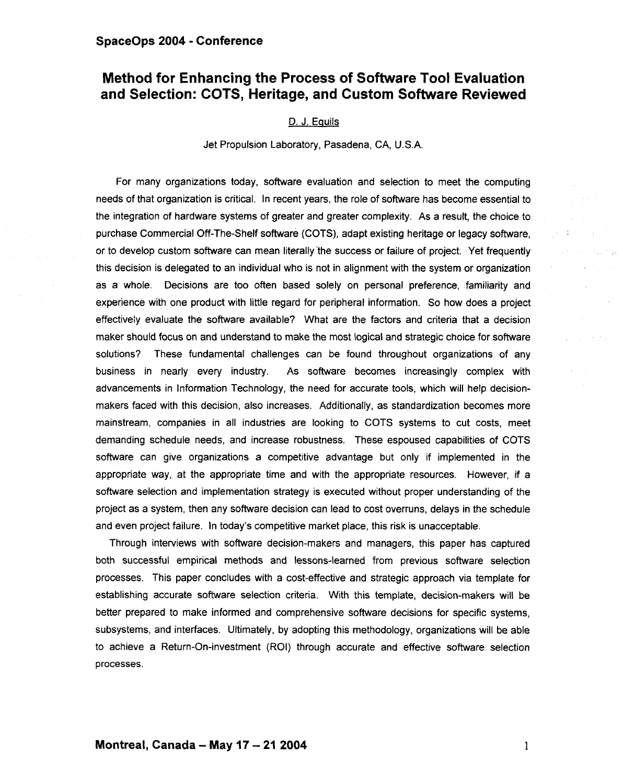### **Method for Enhancing the Process of Software Tool Evaluation and Selection: COTS, Heritage, and Custom Software Reviewed**

### D. **J.** Equils

### Jet Propulsion Laboratory, Pasadena, CA, U.S.A.

For many organizations today, software evaluation and selection to meet the computing needs of that organization is critical. In recent years, the role of software has become essential to the integration of hardware systems of greater and greater complexity. **As** a result, the choice to purchase Commercial Off-The-Shelf software (COTS), adapt existing heritage or legacy software, or to develop custom software can mean literally 'the success or failure of project. Yet frequently this decision is delegated to an individual who is not in alignment with the system or organization as a whole. Decisions are too often based solely on personal preference, familiarity and experience with one product with little regard for peripheral information. So how does a project effectively evaluate the software available? What are the factors and criteria that a decision maker should focus on and understand to make the most logical and strategic choice for software solutions? These fundamental challenges can be found throughout organizations of any business in nearly every industry. As software becomes increasingly complex with advancements in Information Technology, the need for accurate tools, which will help decisionmakers faced with this decision, also increases. Additionally, as standardization becomes more mainstream, companies in all industries are looking to COTS systems to cut costs, meet demanding schedule needs, and increase robustness. These espoused capabilities of COTS software can give organizations a competitive advantage but only if implemented in the appropriate way, at the appropriate time and with the appropriate resources. However, if a software selection and implementation strategy is executed without proper understanding of the project as a system, then any software decision can lead to cost overruns, delays in the schedule and even project failure. In today's competitive market place, this risk is unacceptable.

Through interviews with software decision-makers and managers, this paper has captured both successful empirical methods and lessons-learned from previous software selection processes. This paper concludes with a cost-effective and strategic approach via template for establishing accurate software selection criteria. With this template, decision-makers will be better prepared to make informed and comprehensive software decisions for specific systems, subsystems, and interfaces. Ultimately, by adopting this methodology, organizations will be able to achieve a Return-On-investment (ROI) through accurate and effective software selection processes.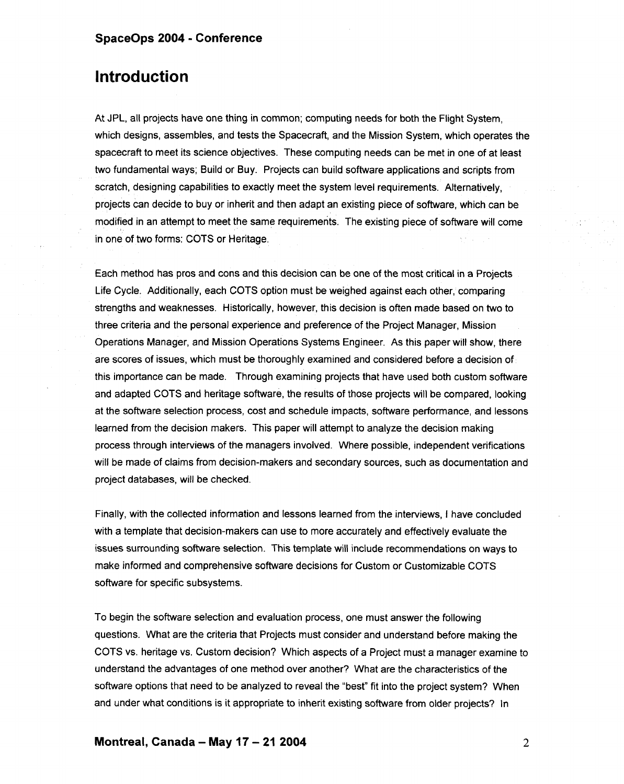# **Introduction**

At JPL, all projects have one thing in common; computing needs for both the Flight System, which designs, assembles, and tests the Spacecraft, and the Mission System, which operates the spacecraft to meet its science objectives. These computing needs can be met in one of at least two fundamental ways; Build or Buy. Projects can build software applications and scripts from scratch, designing capabilities to exactly meet the system level requirements. Alternatively, projects can decide to buy or inherit and then adapt an existing piece of software, which can be modified in an attempt to meet the same requirements. The existing piece of software will come in one of two forms: COTS or Heritage.

Each method has pros and cons and this decision can be one of the most critical in a Projects Life Cycle. Additionally, each COTS option must be weighed against each other, comparing strengths and weaknesses. Historically, however, this decision is often made based on two to three criteria and the personal experience and preference of the Project Manager, Mission Operations Manager, and Mission Operations Systems Engineer. As this paper will show, there are scores of issues, which must be thoroughly examined and considered before a decision of this importance can be made. Through examining projects that have used both custom software and adapted COTS and heritage software, the results of those projects will be compared, looking at the software selection process, cost and schedule impacts, software performance, and lessons learned from the decision makers. This paper will attempt to analyze the decision making process through interviews of the managers involved. Where possible, independent verifications will be made of claims from decision-makers and secondary sources, such as documentation and project databases, will be checked.

Finally, with the collected information and lessons learned from the interviews, I have concluded with a template that decision-makers can use to more accurately and effectively evaluate the issues surrounding software selection. This template will include recommendations on ways to make informed and comprehensive software decisions for Custom or Customizable COTS software for specific subsystems.

To begin the software selection and evaluation process, one must answer the following questions. What are the criteria that Projects must consider and understand before making the COTS vs. heritage vs. Custom decision? Which aspects of a Project must a manager examine to understand the advantages of one method over another? What are the characteristics of the software options that need to be analyzed to reveal the "best" fit into the project system? When and under what conditions is it appropriate to inherit existing software from older projects? In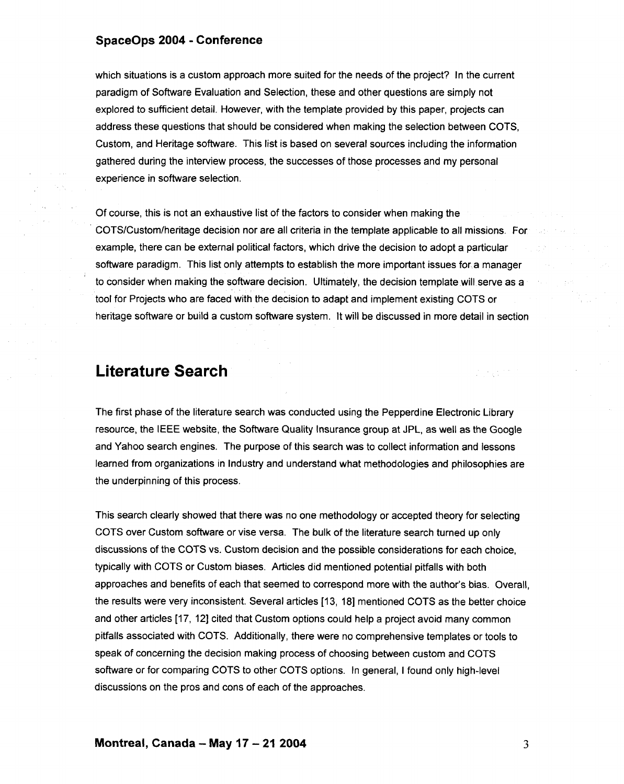which situations is a custom approach more suited for the needs of the project? In the current paradigm of Software Evaluation and Selection, these and other questions are simply not explored to sufficient detail. However, with the template provided by this paper, projects can address these questions that should be considered when making the selection between COTS, Custom, and Heritage software. This list is based on several sources including the information gathered during the interview process, the successes of those processes and my personal experience in software selection.

Of course, this is not an exhaustive list of the factors to consider when making the COTS/Custom/heritage decision nor are all criteria in the template applicable to all missions. For example, there can be external political factors, which drive the decision to adopt a particular software paradigm. This list only attempts to establish the more important issues for a manager to consider when making the software decision. Ultimately, the decision template will serve as a tool for Projects who are faced with the decision to adapt and implement existing COTS or heritage software or build a custom software system. It will be discussed in more detail in section

## **Literature Search**

The first phase of the literature search was conducted using the Pepperdine Electronic Library resource, the IEEE website, the Software Quality Insurance group at JPL, as well as the Google and Yahoo search engines. The purpose of this search was to collect information and lessons learned from organizations in Industry and understand what methodologies and philosophies are the underpinning of this process.

This search clearly showed that there was no one methodology or accepted theory for selecting COTS over Custom software or vise versa. The bulk of the literature search turned up only discussions of the COTS **vs.** Custom decision and the possible considerations for each choice, typically with COTS or Custom biases. Articles did mentioned potential pitfalls with both approaches and benefits of each that seemed to correspond more with the author's bias. Overall, the results were very inconsistent. Several articles [I 3, 181 mentioned COTS as the better choice and other articles **[17,** 121 cited that Custom options could help a project avoid many common pitfalls associated with COTS. Additionally, there were no comprehensive templates or tools to speak of concerning the decision making process of choosing between custom and COTS software or for comparing COTS to other COTS options. In general, I found only high-level discussions on the pros and cons of each of the approaches.

t in der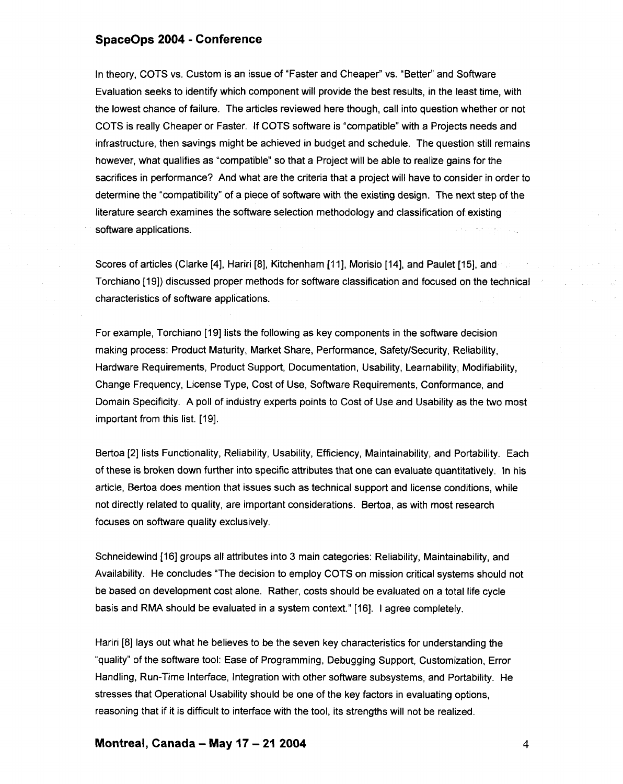In theory, COTS vs. Custom is an issue of "Faster and Cheaper" vs. "Better" and Software Evaluation seeks to identify which component will provide the best results, in the least time, with the lowest chance of failure. The articles reviewed here though, call into question whether or not COTS is really Cheaper or Faster. If COTS software is "compatible" with a Projects needs and infrastructure, then savings might be achieved in budget and schedule. The question still remains however, what qualifies as "compatible" so that a Project will be able to realize gains for the sacrifices in performance? And what are the criteria that a project will have to consider in order to determine the "compatibility" of a piece of software with the existing design. The next step of the literature search examines the software selection methodology and classification of existing software applications.

Scores of articles (Clarke [4], Hariri [8], Kitchenham [11], Morisio [14], and Paulet [15], and Torchiano [19]) discussed proper methods for software classification and focused on the technical characteristics of software applications.

For example, Torchiano [19] lists the following as key components in the software decision making process: Product Maturity, Market Share, Performance, SafetylSecurity, Reliability, Hardware Requirements, Product Support, Documentation, Usability, Learnability, Modifiability, Change Frequency, License Type, Cost of Use, Software Requirements, Conformance, and Domain Specificity. A poll of industry experts points to Cost of Use and Usability as the two most important from this list. [19].

Bertoa [2] lists Functionality, Reliability, Usability, Efficiency, Maintainability, and Portability. Each of these is broken down further into specific attributes that one can evaluate quantitatively. In his article, Bertoa does mention that issues such as technical support and license conditions, while not directly related to quality, are important considerations. Bertoa, as with most research focuses on software quality exclusively.

Schneidewind [I61 groups all attributes into 3 main categories: Reliability, Maintainability, and Availability. He concludes "The decision to employ COTS on mission critical systems should not be based on development cost alone. Rather, costs should be evaluated on a total life cycle basis and RMA should be evaluated in a system context." [16]. I agree completely.

Hariri [8] lays out what he believes to be the seven key characteristics for understanding the "quality" of the software tool: Ease of Programming, Debugging Support, Customization, Error Handling, Run-Time Interface, Integration with other software subsystems, and Portability. He stresses that Operational Usability should be one of the key factors in evaluating options, reasoning that if it is difficult to interface with the tool, its strengths will not be realized.

### **Montreal, Canada** - **May 17** - **21 2004** 4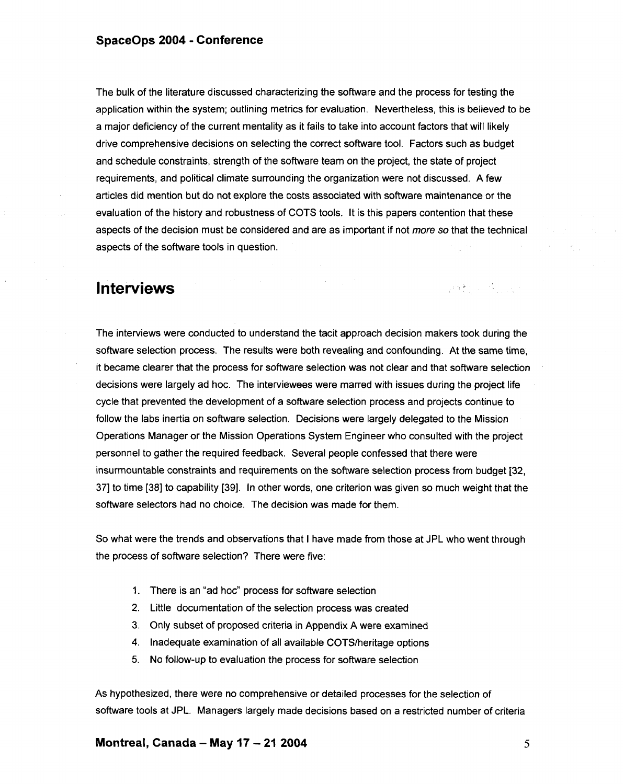The bulk of the literature discussed characterizing the software and the process for testing the application within the system; outlining metrics for evaluation. Nevertheless, this is believed to be a major deficiency of the current mentality as it fails to take into account factors that will likely drive comprehensive decisions on selecting the correct software tool. Factors such as budget and schedule constraints, strength of the software team on the project, the state of project requirements, and political climate surrounding the organization were not discussed. A few articles did mention but do not explore the costs associated with software maintenance or the evaluation of the history and robustness of COTS tools. It is this papers contention that these aspects of the decision must be considered and are as important if not *more* so that the technical aspects of the software tools in question.

### **Interviews**

The interviews were conducted to understand the tacit approach decision makers took during the software selection process. The results were both revealing and confounding. At the same time, it became clearer that the process for software selection was not clear and that software selection decisions were largely ad hoc. The interviewees were marred with issues during the project life cycle that prevented the development of a software selection process and projects continue to follow the labs inertia on software selection. Decisions were largely delegated to the Mission Operations Manager or the Mission Operations System Engineer who consulted with the project personnel to gather the required feedback. Several people confessed that there were insurmountable constraints and requirements on the software selection process from budget [32, **371** to time [38] to capability **[39].** In other words, one criterion was given so much weight that the software selectors had no choice. The decision was made for them.

So what were the trends and observations that I have made from those at JPL who went through the process of software selection? There were five:

- **1.** There **is** an "ad hoc" process for software selection
- 2. Little documentation of the selection process was created
- 3. Only subset of proposed criteria in Appendix **A** were examined
- **4.** Inadequate examination of all available COTSIheritage options
- 5. No follow-up to evaluation the process for software selection

**As** hypothesized, there were no comprehensive or detailed processes for the selection of software tools at JPL. Managers largely made decisions based on a restricted number of criteria

### **Montreal, Canada** - **May 17** - **21 2004** *5*

2010年11月11日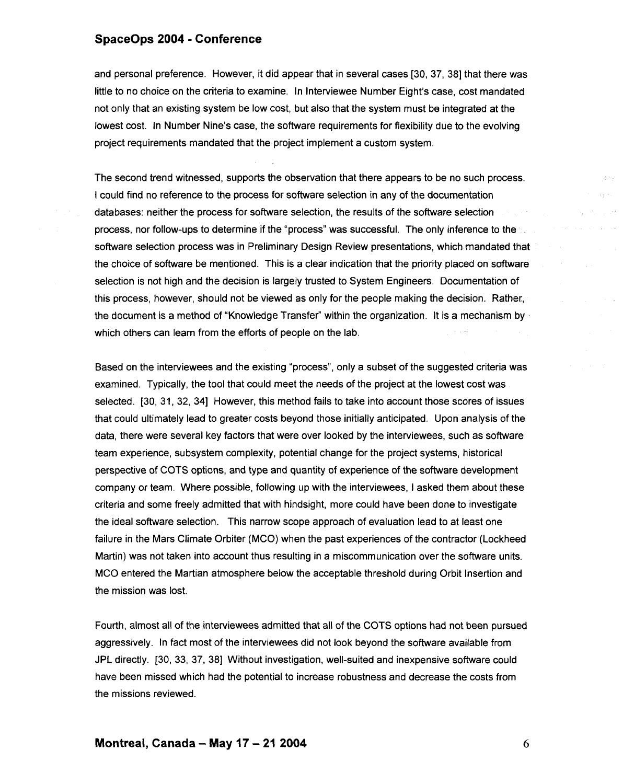and personal preference. However, it did appear that in several cases **[30, 37, 381** that there was little to no choice on the criteria to examine. In Interviewee Number Eight's case, cost mandated not only that an existing system be low cost, but also that the system must be integrated at the lowest cost. In Number Nine's case, the software requirements for flexibility due to the evolving project requirements mandated that the project implement a custom system.

The second trend witnessed, supports the observation that there appears to be no such process. **<sup>I</sup>**could find no reference to the process for software selection in any of the documentation databases: neither the process for software selection, the results of the software selection process, nor follow-ups to determine if the "process" was successful. The only inference to the software selection process was in Preliminary Design Review presentations, whicb mandated that the choice of software be mentioned. This is a clear indication that the priority placed on software selection is not high and the decision is largely trusted to System Engineers. Documentation of this process, however, should not be viewed as only for the people making the decision. Rather, the document is a method of "Knowledge Transfer" within the organization. It is a mechanism by which others can learn from the efforts of people on the lab.

Based on the interviewees and the existing "process", only a subset of the suggested criteria was examined. Typically, the tool that could meet the needs of the project at the lowest cost was selected. **[30, 31, 32, 341** However, this method fails to take into account those scores of issues that could ultimately lead to greater costs beyond those initially anticipated. Upon analysis of the data, there were several key factors that were over looked by the interviewees, such as software team experience, subsystem complexity, potential change for the project systems, historical perspective of COTS options, and type and quantity of experience of the software development company or team. Where possible, following up with the interviewees, I asked them about these criteria and some freely admitted that with hindsight, more could have been done to investigate the ideal software selection. This narrow scope approach of evaluation lead to at least one failure in the Mars Climate Orbiter (MCO) when the past experiences of the contractor (Lockheed Martin) was not taken into account thus resulting in a miscommunication over the software units. MCO entered the Martian atmosphere below the acceptable threshold during Orbit Insertion and the mission was lost.

Fourth, almost all of the interviewees admitted that all of the COTS options had not been pursued aggressively. In fact most of the interviewees did not look beyond the software available from JPL directly. **[30, 33, 37, 381** Without investigation, well-suited and inexpensive software could have been missed which had the potential to increase robustness and decrease the costs from the missions reviewed.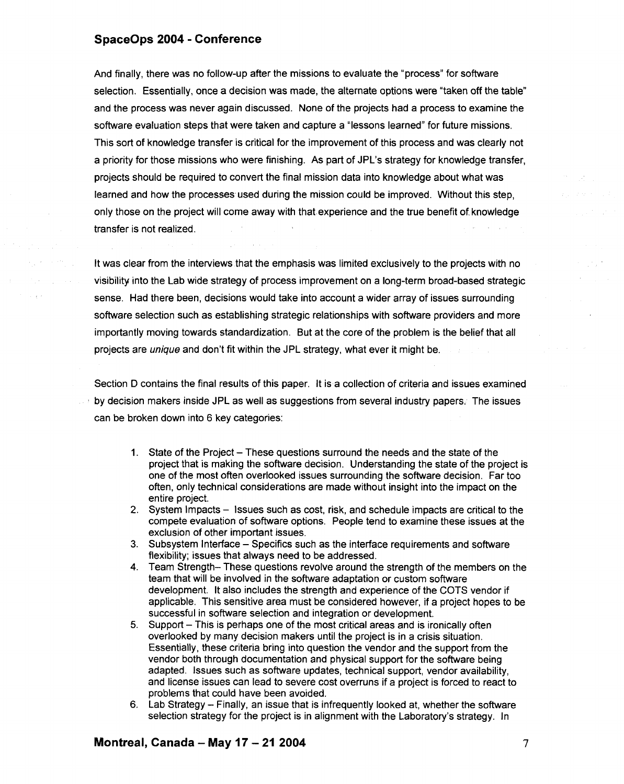And finally, there was no follow-up after the missions to evaluate the "process" for software selection. Essentially, once a decision was made, the alternate options were "taken *off* the table" and the process was never again discussed. None of the projects had a process to examine the software evaluation steps that were taken and capture a "lessons learned" for future missions. This sort of knowledge transfer is critical for the improvement of this process and was clearly not a priority for those missions who were finishing. As part of JPL's strategy for knowledge transfer, projects should be required to convert the final mission data into knowledge about what was learned and how the processes used during the mission could be improved. Without this step, only those on the project will come away with that experience and the true benefit of knowledge transfer is not realized.

It was clear from the interviews that the emphasis was limited exclusively to the projects with no visibility into the Lab wide strategy of process improvement on a long-term broad-based strategic sense. Had there been, decisions would take into account a wider array of issues surrounding software selection such as establishing strategic relationships with software providers and more importantly moving towards standardization. But at the core of the problem is the belief that all projects are *unique* and don't fit within the JPL strategy, what ever it might be.

Section D contains the final results of this paper. It is a collection of criteria and issues examined by decision makers inside JPL as well as suggestions from several industry papers. The issues can be broken down into 6 key categories:

- **1.** State of the Project These questions surround the needs and the state of the project that is making the software decision. Understanding the state of the project is one of the most often overlooked issues surrounding the software decision. Far too often, only technical considerations are made without insight into the impact on the entire project.
- 2. System Impacts Issues such as cost, risk, and schedule impacts are critical to the compete evaluation of software options. People tend to examine these issues at the exclusion of other important issues.
- 3. Subsystem Interface Specifics such as the interface requirements and software flexibility; issues that always need to be addressed.
- **4.** Team Strength- These questions revolve around the strength of the members on the team that will be involved in the software adaptation or custom software development. It also includes the strength and experience of the COTS vendor if applicable. This sensitive area must be considered however, if a project hopes to be successful in software selection and integration or development.
- 5. Support This is perhaps one of the most critical areas and is ironically often overlooked by many decision makers until the project is in a crisis situation. Essentially, these criteria bring into question the vendor and the support from the vendor both through documentation and physical support for the software being adapted. Issues such as software updates, technical support, vendor availability, and license issues can lead to severe cost overruns if a project is forced to react to problems that could have been avoided.
- 6. Lab Strategy Finally, an issue that is infrequently looked at, whether the software selection strategy for the project is in alignment with the Laboratory's strategy. In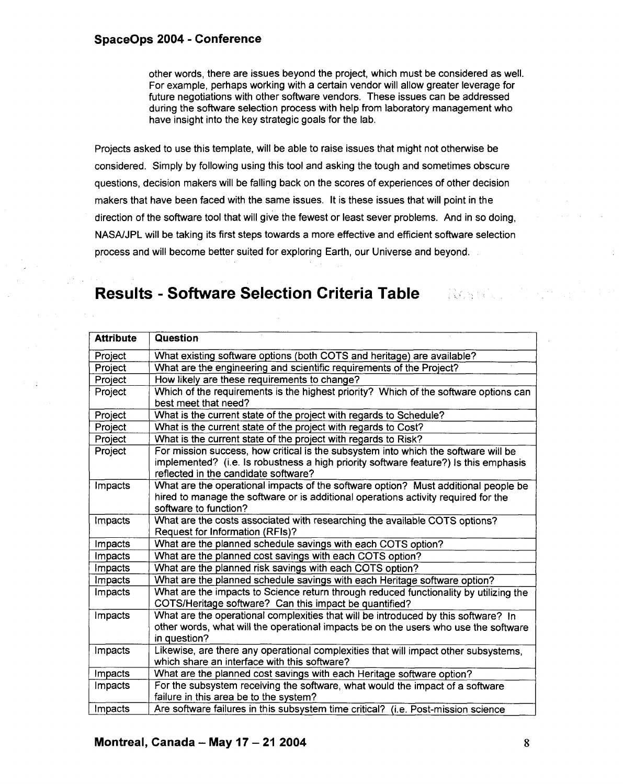other words, there are issues beyond the project, which must be considered as well. For example, perhaps working with a certain vendor will allow greater leverage for future negotiations with other software vendors. These issues can be addressed during the software selection process with help from laboratory management who have insight into the key strategic goals for the lab.

Projects asked to use this template, will be able to raise issues that might not otherwise be considered. Simply by following using this tool and asking the tough and sometimes obscure questions, decision makers will be falling back on the scores of experiences of other decision makers that have been faced with the same issues. It is these issues that will point in the direction of the software tool that will give the fewest or least sever problems. And in so doing, NASNJPL will be taking its first steps towards a more effective and efficient software selection process and will become better suited for exploring Earth, our Universe and beyond.

# **Results** - **Software Selection Criteria Table**

| <b>Attribute</b> | Question                                                                                                                                                                                                           |
|------------------|--------------------------------------------------------------------------------------------------------------------------------------------------------------------------------------------------------------------|
| Project          | What existing software options (both COTS and heritage) are available?                                                                                                                                             |
| Project          | What are the engineering and scientific requirements of the Project?                                                                                                                                               |
| Project          | How likely are these requirements to change?                                                                                                                                                                       |
| Project          | Which of the requirements is the highest priority? Which of the software options can<br>best meet that need?                                                                                                       |
| Project          | What is the current state of the project with regards to Schedule?                                                                                                                                                 |
| Project          | What is the current state of the project with regards to Cost?                                                                                                                                                     |
| Project          | What is the current state of the project with regards to Risk?                                                                                                                                                     |
| Project          | For mission success, how critical is the subsystem into which the software will be<br>implemented? (i.e. Is robustness a high priority software feature?) Is this emphasis<br>reflected in the candidate software? |
| Impacts          | What are the operational impacts of the software option? Must additional people be<br>hired to manage the software or is additional operations activity required for the<br>software to function?                  |
| Impacts          | What are the costs associated with researching the available COTS options?<br>Request for Information (RFIs)?                                                                                                      |
| Impacts          | What are the planned schedule savings with each COTS option?                                                                                                                                                       |
| Impacts          | What are the planned cost savings with each COTS option?                                                                                                                                                           |
| Impacts          | What are the planned risk savings with each COTS option?                                                                                                                                                           |
| Impacts          | What are the planned schedule savings with each Heritage software option?                                                                                                                                          |
| Impacts          | What are the impacts to Science return through reduced functionality by utilizing the<br>COTS/Heritage software? Can this impact be quantified?                                                                    |
| Impacts          | What are the operational complexities that will be introduced by this software? In<br>other words, what will the operational impacts be on the users who use the software<br>in question?                          |
| Impacts          | Likewise, are there any operational complexities that will impact other subsystems,<br>which share an interface with this software?                                                                                |
| Impacts          | What are the planned cost savings with each Heritage software option?                                                                                                                                              |
| Impacts          | For the subsystem receiving the software, what would the impact of a software<br>failure in this area be to the system?                                                                                            |
| Impacts          | Are software failures in this subsystem time critical? (i.e. Post-mission science                                                                                                                                  |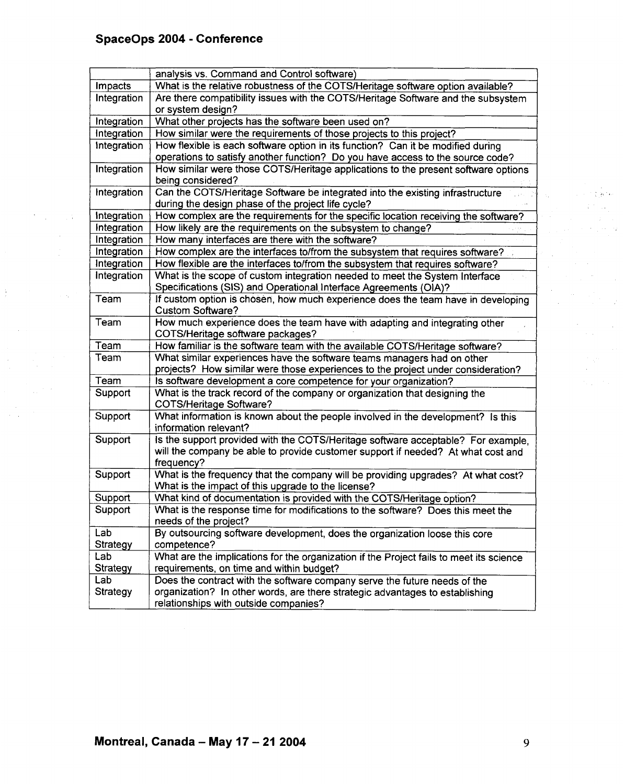$\mathcal{F}(\mathcal{A})$  , and  $\mathcal{G}(\mathcal{A})$ 

 $\frac{1}{2} \left( \frac{1}{2} \right)^{2} \left( \frac{1}{2} \right)^{2} \left( \frac{1}{2} \right)^{2} \left( \frac{1}{2} \right)^{2}$ 

 $\sim 10^{11}$ 

 $\label{eq:2} \frac{1}{\sqrt{2}}\sum_{i=1}^n\frac{1}{\sqrt{2}}\sum_{i=1}^n\frac{1}{\sqrt{2}}\sum_{i=1}^n\frac{1}{\sqrt{2}}\sum_{i=1}^n\frac{1}{\sqrt{2}}\sum_{i=1}^n\frac{1}{\sqrt{2}}\sum_{i=1}^n\frac{1}{\sqrt{2}}\sum_{i=1}^n\frac{1}{\sqrt{2}}\sum_{i=1}^n\frac{1}{\sqrt{2}}\sum_{i=1}^n\frac{1}{\sqrt{2}}\sum_{i=1}^n\frac{1}{\sqrt{2}}\sum_{i=1}^n\frac{1$ 

|             | analysis vs. Command and Control software)                                                               |  |
|-------------|----------------------------------------------------------------------------------------------------------|--|
| Impacts     | What is the relative robustness of the COTS/Heritage software option available?                          |  |
| Integration | Are there compatibility issues with the COTS/Heritage Software and the subsystem                         |  |
|             | or system design?                                                                                        |  |
| Integration | What other projects has the software been used on?                                                       |  |
| Integration | How similar were the requirements of those projects to this project?                                     |  |
| Integration | How flexible is each software option in its function? Can it be modified during                          |  |
|             | operations to satisfy another function? Do you have access to the source code?                           |  |
| Integration | How similar were those COTS/Heritage applications to the present software options                        |  |
|             | being considered?                                                                                        |  |
| Integration | Can the COTS/Heritage Software be integrated into the existing infrastructure                            |  |
|             | during the design phase of the project life cycle?                                                       |  |
| Integration | How complex are the requirements for the specific location receiving the software?                       |  |
| Integration | How likely are the requirements on the subsystem to change?                                              |  |
| Integration | How many interfaces are there with the software?                                                         |  |
| Integration | How complex are the interfaces to/from the subsystem that requires software?                             |  |
| Integration | How flexible are the interfaces to/from the subsystem that requires software?                            |  |
| Integration | What is the scope of custom integration needed to meet the System Interface                              |  |
|             | Specifications (SIS) and Operational Interface Agreements (OIA)?                                         |  |
| Team        | If custom option is chosen, how much experience does the team have in developing                         |  |
|             | <b>Custom Software?</b>                                                                                  |  |
| Team        | How much experience does the team have with adapting and integrating other                               |  |
|             | COTS/Heritage software packages?                                                                         |  |
| Team        |                                                                                                          |  |
|             | How familiar is the software team with the available COTS/Heritage software?                             |  |
| Team        | What similar experiences have the software teams managers had on other                                   |  |
|             | projects? How similar were those experiences to the project under consideration?                         |  |
| Team        | Is software development a core competence for your organization?                                         |  |
| Support     | What is the track record of the company or organization that designing the                               |  |
|             | <b>COTS/Heritage Software?</b>                                                                           |  |
| Support     | What information is known about the people involved in the development? Is this                          |  |
|             | information relevant?                                                                                    |  |
| Support     | Is the support provided with the COTS/Heritage software acceptable? For example,                         |  |
|             | will the company be able to provide customer support if needed? At what cost and                         |  |
|             | frequency?                                                                                               |  |
| Support     | What is the frequency that the company will be providing upgrades? At what cost?                         |  |
|             | What is the impact of this upgrade to the license?                                                       |  |
| Support     | What kind of documentation is provided with the COTS/Heritage option?                                    |  |
| Support     | What is the response time for modifications to the software? Does this meet the<br>needs of the project? |  |
| Lab         | By outsourcing software development, does the organization loose this core                               |  |
| Strategy    | competence?                                                                                              |  |
| Lab         | What are the implications for the organization if the Project fails to meet its science                  |  |
| Strategy    | requirements, on time and within budget?                                                                 |  |
| Lab         | Does the contract with the software company serve the future needs of the                                |  |
| Strategy    | organization? In other words, are there strategic advantages to establishing                             |  |